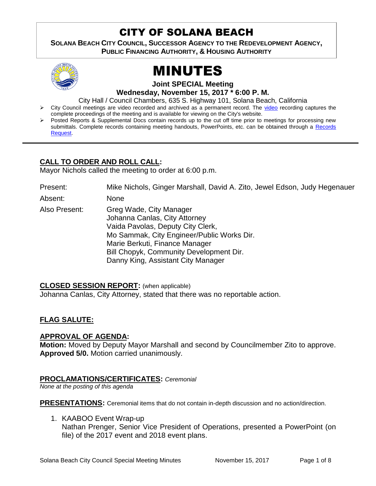# CITY OF SOLANA BEACH

**SOLANA BEACH CITY COUNCIL, SUCCESSOR AGENCY TO THE REDEVELOPMENT AGENCY, PUBLIC FINANCING AUTHORITY, & HOUSING AUTHORITY** 



# MINUTES

**Joint SPECIAL Meeting**

**Wednesday, November 15, 2017 \* 6:00 P. M.**

City Hall / Council Chambers, 635 S. Highway 101, Solana Beach, California

- Tription City Council meetings are [video](https://solanabeach.12milesout.com/video/meeting/bba6210b-0cbd-464d-befa-c63600583d52) recorded and archived as a permanent record. The video recording captures the complete proceedings of the meeting and is available for viewing on the City's website.
- Posted Reports & Supplemental Docs contain records up to the cut off time prior to meetings for processing new submittals. Complete records containing meeting handouts, PowerPoints, etc. can be obtained through a [Records](http://www.ci.solana-beach.ca.us/index.asp?SEC=F5D45D10-70CE-4291-A27C-7BD633FC6742&Type=B_BASIC)  [Request.](http://www.ci.solana-beach.ca.us/index.asp?SEC=F5D45D10-70CE-4291-A27C-7BD633FC6742&Type=B_BASIC)

# **CALL TO ORDER AND ROLL CALL:**

Mayor Nichols called the meeting to order at 6:00 p.m.

Present: Mike Nichols, Ginger Marshall, David A. Zito, Jewel Edson, Judy Hegenauer

Absent: None

Also Present: Greg Wade, City Manager Johanna Canlas, City Attorney Vaida Pavolas, Deputy City Clerk, Mo Sammak, City Engineer/Public Works Dir. Marie Berkuti, Finance Manager Bill Chopyk, Community Development Dir. Danny King, Assistant City Manager

**CLOSED SESSION REPORT:** (when applicable) Johanna Canlas, City Attorney, stated that there was no reportable action.

# **FLAG SALUTE:**

#### **APPROVAL OF AGENDA:**

**Motion:** Moved by Deputy Mayor Marshall and second by Councilmember Zito to approve. **Approved 5/0.** Motion carried unanimously.

#### **PROCLAMATIONS/CERTIFICATES:** *Ceremonial*

*None at the posting of this agenda*

**PRESENTATIONS:** Ceremonial items that do not contain in-depth discussion and no action/direction.

1. KAABOO Event Wrap-up Nathan Prenger, Senior Vice President of Operations, presented a PowerPoint (on file) of the 2017 event and 2018 event plans.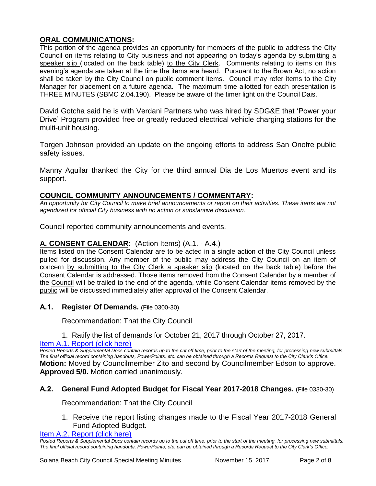# **ORAL COMMUNICATIONS:**

This portion of the agenda provides an opportunity for members of the public to address the City Council on items relating to City business and not appearing on today's agenda by submitting a speaker slip (located on the back table) to the City Clerk. Comments relating to items on this evening's agenda are taken at the time the items are heard. Pursuant to the Brown Act, no action shall be taken by the City Council on public comment items. Council may refer items to the City Manager for placement on a future agenda. The maximum time allotted for each presentation is THREE MINUTES (SBMC 2.04.190). Please be aware of the timer light on the Council Dais.

David Gotcha said he is with Verdani Partners who was hired by SDG&E that 'Power your Drive' Program provided free or greatly reduced electrical vehicle charging stations for the multi-unit housing.

Torgen Johnson provided an update on the ongoing efforts to address San Onofre public safety issues.

Manny Aguilar thanked the City for the third annual Dia de Los Muertos event and its support.

#### **COUNCIL COMMUNITY ANNOUNCEMENTS / COMMENTARY:**

*An opportunity for City Council to make brief announcements or report on their activities. These items are not agendized for official City business with no action or substantive discussion.* 

Council reported community announcements and events.

#### **A. CONSENT CALENDAR:** (Action Items) (A.1. - A.4.)

Items listed on the Consent Calendar are to be acted in a single action of the City Council unless pulled for discussion. Any member of the public may address the City Council on an item of concern by submitting to the City Clerk a speaker slip (located on the back table) before the Consent Calendar is addressed. Those items removed from the Consent Calendar by a member of the Council will be trailed to the end of the agenda, while Consent Calendar items removed by the public will be discussed immediately after approval of the Consent Calendar.

#### **A.1. Register Of Demands.** (File 0300-30)

Recommendation: That the City Council

1. Ratify the list of demands for October 21, 2017 through October 27, 2017.

# [Item A.1. Report \(click here\)](https://solanabeach.govoffice3.com/vertical/Sites/%7B840804C2-F869-4904-9AE3-720581350CE7%7D/uploads/Item_A.1._Report_(click_here)_-_11-15-17.PDF)

*Posted Reports & Supplemental Docs contain records up to the cut off time, prior to the start of the meeting, for processing new submittals. The final official record containing handouts, PowerPoints, etc. can be obtained through a Records Request to the City Clerk's Office.* **Motion:** Moved by Councilmember Zito and second by Councilmember Edson to approve. **Approved 5/0.** Motion carried unanimously.

#### **A.2. General Fund Adopted Budget for Fiscal Year 2017-2018 Changes.** (File 0330-30)

Recommendation: That the City Council

1. Receive the report listing changes made to the Fiscal Year 2017-2018 General Fund Adopted Budget.

[Item A.2. Report \(click here\)](https://solanabeach.govoffice3.com/vertical/Sites/%7B840804C2-F869-4904-9AE3-720581350CE7%7D/uploads/Item_A.2._Report_(click_here)_-_11-15-17.PDF)

*Posted Reports & Supplemental Docs contain records up to the cut off time, prior to the start of the meeting, for processing new submittals. The final official record containing handouts, PowerPoints, etc. can be obtained through a Records Request to the City Clerk's Office.*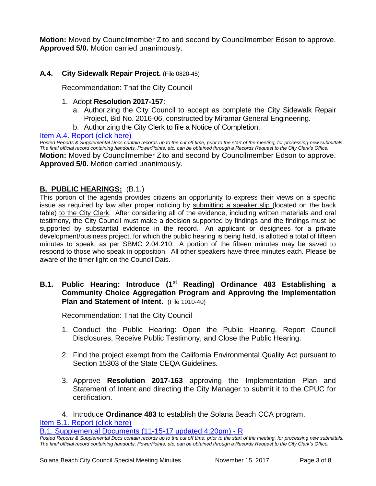**Motion:** Moved by Councilmember Zito and second by Councilmember Edson to approve. **Approved 5/0.** Motion carried unanimously.

# **A.4. City Sidewalk Repair Project.** (File 0820-45)

Recommendation: That the City Council

#### 1. Adopt **Resolution 2017-157**:

- a. Authorizing the City Council to accept as complete the City Sidewalk Repair Project, Bid No. 2016-06, constructed by Miramar General Engineering.
- b. Authorizing the City Clerk to file a Notice of Completion.

#### [Item A.4. Report \(click here\)](https://solanabeach.govoffice3.com/vertical/Sites/%7B840804C2-F869-4904-9AE3-720581350CE7%7D/uploads/Item_A.4._Report_(click_here)_-_11-15-17.PDF)

*Posted Reports & Supplemental Docs contain records up to the cut off time, prior to the start of the meeting, for processing new submittals. The final official record containing handouts, PowerPoints, etc. can be obtained through a Records Request to the City Clerk's Office.* **Motion:** Moved by Councilmember Zito and second by Councilmember Edson to approve. **Approved 5/0.** Motion carried unanimously.

#### **B. PUBLIC HEARINGS:** (B.1.)

This portion of the agenda provides citizens an opportunity to express their views on a specific issue as required by law after proper noticing by submitting a speaker slip (located on the back table) to the City Clerk. After considering all of the evidence, including written materials and oral testimony, the City Council must make a decision supported by findings and the findings must be supported by substantial evidence in the record. An applicant or designees for a private development/business project, for which the public hearing is being held, is allotted a total of fifteen minutes to speak, as per SBMC 2.04.210. A portion of the fifteen minutes may be saved to respond to those who speak in opposition. All other speakers have three minutes each. Please be aware of the timer light on the Council Dais.

# B.1. Public Hearing: Introduce (1<sup>st</sup> Reading) Ordinance 483 Establishing a **Community Choice Aggregation Program and Approving the Implementation Plan and Statement of Intent.** (File 1010-40)

Recommendation: That the City Council

- 1. Conduct the Public Hearing: Open the Public Hearing, Report Council Disclosures, Receive Public Testimony, and Close the Public Hearing.
- 2. Find the project exempt from the California Environmental Quality Act pursuant to Section 15303 of the State CEQA Guidelines.
- 3. Approve **Resolution 2017-163** approving the Implementation Plan and Statement of Intent and directing the City Manager to submit it to the CPUC for certification.
- 4. Introduce **Ordinance 483** to establish the Solana Beach CCA program.

[Item B.1. Report \(click here\)](https://solanabeach.govoffice3.com/vertical/Sites/%7B840804C2-F869-4904-9AE3-720581350CE7%7D/uploads/Item_B.1._Report_(click_here)_-_11-15-17.PDF)

B.1. Supplemental [Documents \(11-15-17 updated 4:20pm\) -](https://solanabeach.govoffice3.com/vertical/Sites/%7B840804C2-F869-4904-9AE3-720581350CE7%7D/uploads/B.1._Supplemental_Documents_(11-15-17_updated_420pm)_-_R.pdf) R

*Posted Reports & Supplemental Docs contain records up to the cut off time, prior to the start of the meeting, for processing new submittals. The final official record containing handouts, PowerPoints, etc. can be obtained through a Records Request to the City Clerk's Office.*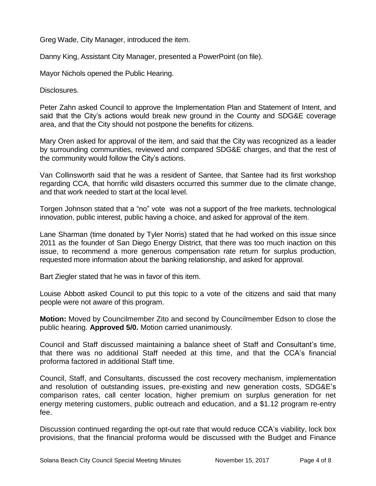Greg Wade, City Manager, introduced the item.

Danny King, Assistant City Manager, presented a PowerPoint (on file).

Mayor Nichols opened the Public Hearing.

Disclosures.

Peter Zahn asked Council to approve the Implementation Plan and Statement of Intent, and said that the City's actions would break new ground in the County and SDG&E coverage area, and that the City should not postpone the benefits for citizens.

Mary Oren asked for approval of the item, and said that the City was recognized as a leader by surrounding communities, reviewed and compared SDG&E charges, and that the rest of the community would follow the City's actions.

Van Collinsworth said that he was a resident of Santee, that Santee had its first workshop regarding CCA, that horrific wild disasters occurred this summer due to the climate change, and that work needed to start at the local level.

Torgen Johnson stated that a "no" vote was not a support of the free markets, technological innovation, public interest, public having a choice, and asked for approval of the item.

Lane Sharman (time donated by Tyler Norris) stated that he had worked on this issue since 2011 as the founder of San Diego Energy District, that there was too much inaction on this issue, to recommend a more generous compensation rate return for surplus production, requested more information about the banking relationship, and asked for approval.

Bart Ziegler stated that he was in favor of this item.

Louise Abbott asked Council to put this topic to a vote of the citizens and said that many people were not aware of this program.

**Motion:** Moved by Councilmember Zito and second by Councilmember Edson to close the public hearing. **Approved 5/0.** Motion carried unanimously.

Council and Staff discussed maintaining a balance sheet of Staff and Consultant's time, that there was no additional Staff needed at this time, and that the CCA's financial proforma factored in additional Staff time.

Council, Staff, and Consultants, discussed the cost recovery mechanism, implementation and resolution of outstanding issues, pre-existing and new generation costs, SDG&E's comparison rates, call center location, higher premium on surplus generation for net energy metering customers, public outreach and education, and a \$1.12 program re-entry fee.

Discussion continued regarding the opt-out rate that would reduce CCA's viability, lock box provisions, that the financial proforma would be discussed with the Budget and Finance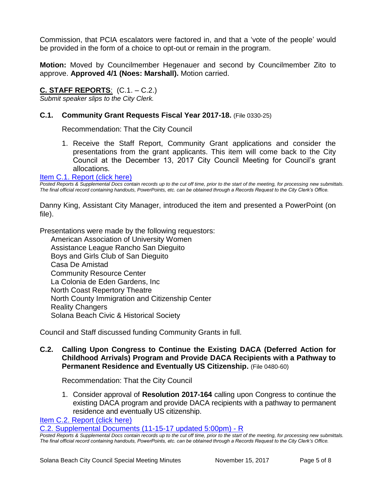Commission, that PCIA escalators were factored in, and that a 'vote of the people' would be provided in the form of a choice to opt-out or remain in the program.

**Motion:** Moved by Councilmember Hegenauer and second by Councilmember Zito to approve. **Approved 4/1 (Noes: Marshall).** Motion carried.

# **C. STAFF REPORTS**: (C.1. – C.2.)

*Submit speaker slips to the City Clerk.*

# **C.1. Community Grant Requests Fiscal Year 2017-18.** (File 0330-25)

Recommendation: That the City Council

1. Receive the Staff Report, Community Grant applications and consider the presentations from the grant applicants. This item will come back to the City Council at the December 13, 2017 City Council Meeting for Council's grant allocations.

[Item C.1. Report \(click here\)](https://solanabeach.govoffice3.com/vertical/Sites/%7B840804C2-F869-4904-9AE3-720581350CE7%7D/uploads/Item_C.1._Report_(click_here)_-_11-15-17.PDF)

*Posted Reports & Supplemental Docs contain records up to the cut off time, prior to the start of the meeting, for processing new submittals. The final official record containing handouts, PowerPoints, etc. can be obtained through a Records Request to the City Clerk's Office.*

Danny King, Assistant City Manager, introduced the item and presented a PowerPoint (on file).

Presentations were made by the following requestors:

American Association of University Women Assistance League Rancho San Dieguito Boys and Girls Club of San Dieguito Casa De Amistad Community Resource Center La Colonia de Eden Gardens, Inc North Coast Repertory Theatre North County Immigration and Citizenship Center Reality Changers Solana Beach Civic & Historical Society

Council and Staff discussed funding Community Grants in full.

#### **C.2. Calling Upon Congress to Continue the Existing DACA (Deferred Action for Childhood Arrivals) Program and Provide DACA Recipients with a Pathway to Permanent Residence and Eventually US Citizenship.** (File 0480-60)

Recommendation: That the City Council

1. Consider approval of **Resolution 2017-164** calling upon Congress to continue the existing DACA program and provide DACA recipients with a pathway to permanent residence and eventually US citizenship.

[Item C.2. Report \(click here\)](https://solanabeach.govoffice3.com/vertical/Sites/%7B840804C2-F869-4904-9AE3-720581350CE7%7D/uploads/Item_C.2._Report_(click_here)_-_11-15-17.PDF)

C.2. Supplemental [Documents \(11-15-17 updated 5:00pm\)](https://solanabeach.govoffice3.com/vertical/Sites/%7B840804C2-F869-4904-9AE3-720581350CE7%7D/uploads/C.2._Supplemental_Documents_(11-15-17_updated_5pm)_-_R.pdf) - R

*Posted Reports & Supplemental Docs contain records up to the cut off time, prior to the start of the meeting, for processing new submittals. The final official record containing handouts, PowerPoints, etc. can be obtained through a Records Request to the City Clerk's Office.*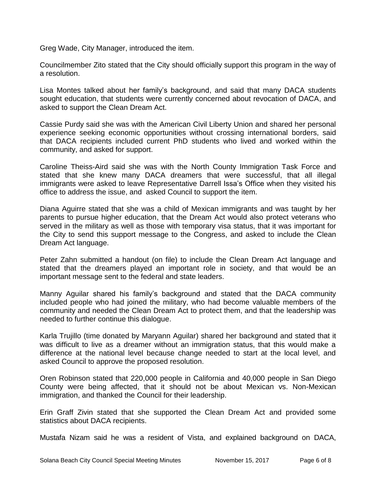Greg Wade, City Manager, introduced the item.

Councilmember Zito stated that the City should officially support this program in the way of a resolution.

Lisa Montes talked about her family's background, and said that many DACA students sought education, that students were currently concerned about revocation of DACA, and asked to support the Clean Dream Act.

Cassie Purdy said she was with the American Civil Liberty Union and shared her personal experience seeking economic opportunities without crossing international borders, said that DACA recipients included current PhD students who lived and worked within the community, and asked for support.

Caroline Theiss-Aird said she was with the North County Immigration Task Force and stated that she knew many DACA dreamers that were successful, that all illegal immigrants were asked to leave Representative Darrell Issa's Office when they visited his office to address the issue, and asked Council to support the item.

Diana Aguirre stated that she was a child of Mexican immigrants and was taught by her parents to pursue higher education, that the Dream Act would also protect veterans who served in the military as well as those with temporary visa status, that it was important for the City to send this support message to the Congress, and asked to include the Clean Dream Act language.

Peter Zahn submitted a handout (on file) to include the Clean Dream Act language and stated that the dreamers played an important role in society, and that would be an important message sent to the federal and state leaders.

Manny Aguilar shared his family's background and stated that the DACA community included people who had joined the military, who had become valuable members of the community and needed the Clean Dream Act to protect them, and that the leadership was needed to further continue this dialogue.

Karla Trujillo (time donated by Maryann Aguilar) shared her background and stated that it was difficult to live as a dreamer without an immigration status, that this would make a difference at the national level because change needed to start at the local level, and asked Council to approve the proposed resolution.

Oren Robinson stated that 220,000 people in California and 40,000 people in San Diego County were being affected, that it should not be about Mexican vs. Non-Mexican immigration, and thanked the Council for their leadership.

Erin Graff Zivin stated that she supported the Clean Dream Act and provided some statistics about DACA recipients.

Mustafa Nizam said he was a resident of Vista, and explained background on DACA,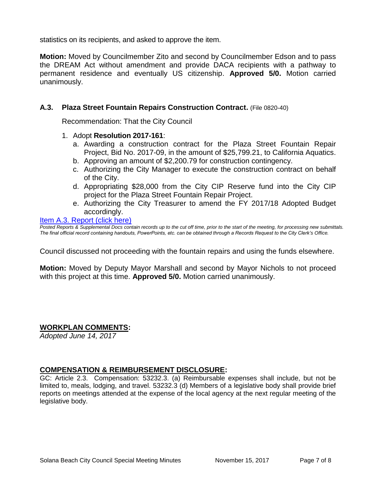statistics on its recipients, and asked to approve the item.

**Motion:** Moved by Councilmember Zito and second by Councilmember Edson and to pass the DREAM Act without amendment and provide DACA recipients with a pathway to permanent residence and eventually US citizenship. **Approved 5/0.** Motion carried unanimously.

#### **A.3. Plaza Street Fountain Repairs Construction Contract.** (File 0820-40)

Recommendation: That the City Council

- 1. Adopt **Resolution 2017-161**:
	- a. Awarding a construction contract for the Plaza Street Fountain Repair Project, Bid No. 2017-09, in the amount of \$25,799.21, to California Aquatics.
	- b. Approving an amount of \$2,200.79 for construction contingency.
	- c. Authorizing the City Manager to execute the construction contract on behalf of the City.
	- d. Appropriating \$28,000 from the City CIP Reserve fund into the City CIP project for the Plaza Street Fountain Repair Project.
	- e. Authorizing the City Treasurer to amend the FY 2017/18 Adopted Budget accordingly.

#### [Item A.3. Report \(click here\)](https://solanabeach.govoffice3.com/vertical/Sites/%7B840804C2-F869-4904-9AE3-720581350CE7%7D/uploads/Item_A.3._Report_(click_here)_-_11-15-17.PDF)

*Posted Reports & Supplemental Docs contain records up to the cut off time, prior to the start of the meeting, for processing new submittals. The final official record containing handouts, PowerPoints, etc. can be obtained through a Records Request to the City Clerk's Office.*

Council discussed not proceeding with the fountain repairs and using the funds elsewhere.

**Motion:** Moved by Deputy Mayor Marshall and second by Mayor Nichols to not proceed with this project at this time. **Approved 5/0.** Motion carried unanimously.

#### **WORKPLAN COMMENTS:**

*Adopted June 14, 2017*

#### **COMPENSATION & REIMBURSEMENT DISCLOSURE:**

GC: Article 2.3. Compensation: 53232.3. (a) Reimbursable expenses shall include, but not be limited to, meals, lodging, and travel. 53232.3 (d) Members of a legislative body shall provide brief reports on meetings attended at the expense of the local agency at the next regular meeting of the legislative body.